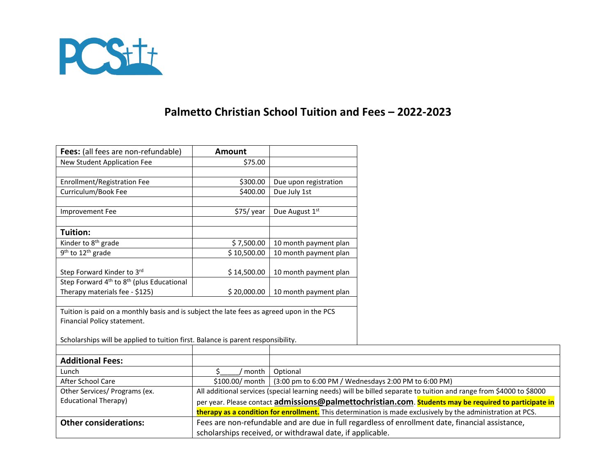

## **Palmetto Christian School Tuition and Fees – 2022-2023**

scholarships received, or withdrawal date, if applicable.

| Fees: (all fees are non-refundable)                                                       | <b>Amount</b>                                                                                                       |                                                                                                             |  |
|-------------------------------------------------------------------------------------------|---------------------------------------------------------------------------------------------------------------------|-------------------------------------------------------------------------------------------------------------|--|
| New Student Application Fee                                                               | \$75.00                                                                                                             |                                                                                                             |  |
|                                                                                           |                                                                                                                     |                                                                                                             |  |
| Enrollment/Registration Fee                                                               | \$300.00                                                                                                            | Due upon registration                                                                                       |  |
| Curriculum/Book Fee                                                                       | \$400.00                                                                                                            | Due July 1st                                                                                                |  |
|                                                                                           |                                                                                                                     |                                                                                                             |  |
| Improvement Fee                                                                           | \$75/year                                                                                                           | Due August 1st                                                                                              |  |
| <b>Tuition:</b>                                                                           |                                                                                                                     |                                                                                                             |  |
| Kinder to 8 <sup>th</sup> grade                                                           | \$7,500.00                                                                                                          | 10 month payment plan                                                                                       |  |
| 9 <sup>th</sup> to 12 <sup>th</sup> grade                                                 | \$10,500.00                                                                                                         | 10 month payment plan                                                                                       |  |
|                                                                                           |                                                                                                                     |                                                                                                             |  |
| Step Forward Kinder to 3rd                                                                | \$14,500.00                                                                                                         | 10 month payment plan                                                                                       |  |
| Step Forward 4 <sup>th</sup> to 8 <sup>th</sup> (plus Educational                         |                                                                                                                     |                                                                                                             |  |
| Therapy materials fee - \$125)                                                            | \$20,000.00                                                                                                         | 10 month payment plan                                                                                       |  |
|                                                                                           |                                                                                                                     |                                                                                                             |  |
| Tuition is paid on a monthly basis and is subject the late fees as agreed upon in the PCS |                                                                                                                     |                                                                                                             |  |
| Financial Policy statement.                                                               |                                                                                                                     |                                                                                                             |  |
| Scholarships will be applied to tuition first. Balance is parent responsibility.          |                                                                                                                     |                                                                                                             |  |
|                                                                                           |                                                                                                                     |                                                                                                             |  |
| <b>Additional Fees:</b>                                                                   |                                                                                                                     |                                                                                                             |  |
| Lunch                                                                                     | Ś.<br>' month                                                                                                       | Optional                                                                                                    |  |
| After School Care                                                                         | \$100.00/ month                                                                                                     | (3:00 pm to 6:00 PM / Wednesdays 2:00 PM to 6:00 PM)                                                        |  |
| Other Services/ Programs (ex.                                                             | All additional services (special learning needs) will be billed separate to tuition and range from \$4000 to \$8000 |                                                                                                             |  |
| <b>Educational Therapy)</b>                                                               | per year. Please contact admissions@palmettochristian.com. Students may be required to participate in               |                                                                                                             |  |
|                                                                                           |                                                                                                                     | therapy as a condition for enrollment. This determination is made exclusively by the administration at PCS. |  |
| <b>Other considerations:</b>                                                              | Fees are non-refundable and are due in full regardless of enrollment date, financial assistance,                    |                                                                                                             |  |